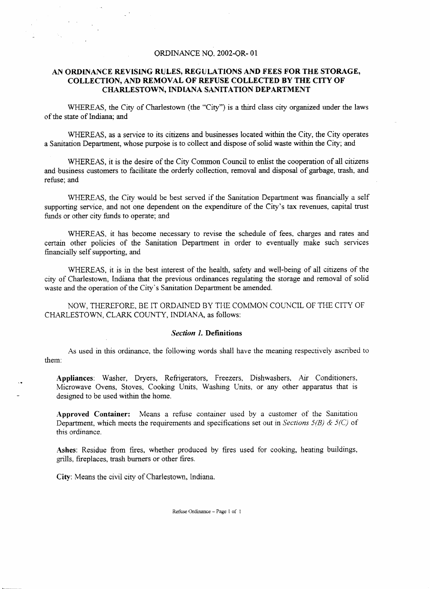# ORDINANCE NO. 2002-0R- 01

# *AN* **ORDlNANCE REVISING RULES, REGULATlONS AND FEES FOR THE STORAGE, COLLECTION,** *AND* **REMOVAL OF REFUSE COLLECTED BY THE CITY OF CHARLESTOWN, INDIANA SANITATION DEPARTMENT**

WHEREAS, the City of Charlestown (the "City") is a third class city organized under the laws of the state of Indiana; and

WHEREAS, as a service to its citizens and businesses located within the City, the City operates a Sanitation Department, whose purpose is to collect and dispose of solid waste within the City; and

WHEREAS, it is the desire of the City Common Council to enlist the cooperation of all citizens and business customers to facilitate the orderly collection, removal and disposal of garbage, **trash,** and refuse; and

WHEREAS, the City would be best served if the Sanitation Department was financially a self supporting service, and not one dependent on the expenditure of the City's tax revenues, capital trust funds or other city funds to operate; and

WHEREAS. it has become necessary to revise the schedule of fees, charges and rates and certain other policies of the Sanitation Department in order to eventually make such services financially self supporting, and

WHEREAS, it is in the best interest of the health, safety and well-being of all citizens of the city of Charlestown, Indiana that the previous ordinances regulating the storage and removal of solid waste and the operation of the City's Sanitation Department be amended.

NOW, THEREFORE, BE IT ORDAINED BY THE COMMON COUNCIL OF THE CITY OF CHARLESTOWN, CLARK COUNTY, INDIANA, as follows:

## *Section I.* **Definitions**

**As** used in this ordinance, the following words shall have the meaning respectively ascribed to them:

**Appliances:** Washer, Dryers, Refrigerators, Freezers, Dishwashers, **Air** Conditioners, Microwave Ovens, Stoves, Cooking Units, Washing Units, or any other apparatus that is designed to be used within the home.

**Approved Container:** Means a refuse container used by a customer of **the** Sanitation Department, which meets the requirements and specifications set out in *Sections 5/B)* & *5(C)* of this ordinance.

**Ashes:** Residue from fires, whether produced by fires used for cooking, heating buildings, grills, fireplaces, trash burners or other fires.

**City:** Means the civil city of Charlestown, Indiana.

 $\ddot{\phantom{a}}$ 

Refuse Ordinance *Page* 1 of 1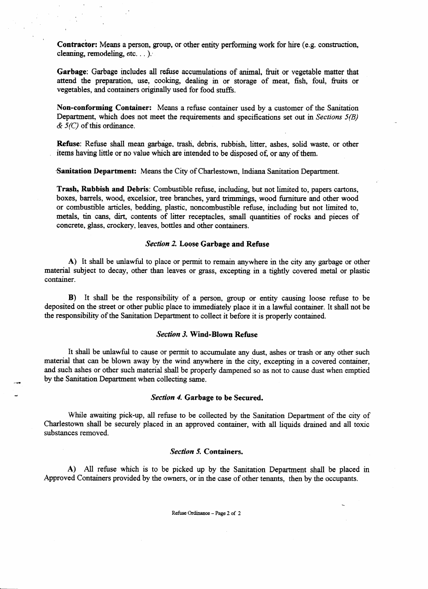Contractor: Means a person, group, or other entity performing work for hire (e.g. construction, cleaning, remodeling, etc. . . ).

Garbage: Garbage includes all refuse accumulations of animal, fruit or vegetable matter that attend the preparation, use, cooking, dealing in or storage of meat, fish, foul, **fruits** or vegetables, and containers originally used for food stuffs.

**Non-conforming Container:** Means **a** refuse container used by a customer of the Sanitation Department, which does not meet the requirements and specifications set out in Sections *5(B)*  & *S(C)* of this ordinance.

**Refuse:** Refuse shall mean garbage, trash, debris, rubbish, litter, ashes, solid waste, or other items having little or no value which are intended to be disposed of, or any of them.

**-Sanitation Department:** Means the City of Charlestown, lndiana Sanitation Department.

Trash, **Rubbish and Debris:** Combustible refuse, including, but not limited to, papers cartons, boxes, barrels, wood, excelsior, tree branches, yard trimmings, wood furniture and other wood or combustible articles, bedding, plastic, noncombustible refuse, including but not limited to, metals, tin cans, *dirt,* contents of litter receptacles, small quantities of rocks and pieces of concrete, **glass,** crockery. leaves, bottles and other containers.

# *Section 2.* **Loose Garbage and Refuse**

A) It shall be unlawful to place or permit to remain anywhere in the city any garbage or other material subject to decay, other than leaves or **grass,** excepting in a tightly covered metal or plastic container.

**B)** It shall be the responsibllity of a person, group or entity causing loose refuse to be deposited on the street or other public place to immediately place it in a lawful container. It shall not be the responsibility of the Sanitation Department to collect it before it is properly contained.

## *Section* **3. Wind-Blown Refuse**

It shall be unlawful to cause or permit to accumulate any dust, ashes or trash or *any* other such material that can be blown away by the wind anywhere in the city, excepting in a covered container, **and** such ashes or other such material shall be properly dampened so **as** not to cause dust when emptied by the Sanitation Department when collecting same.

### *Section 4,* **Garbage to be Secured.**

While awaiting pick-up, all refuse to be collected by the Sanitation Department of the city of Charlestown shall be securely placed in an approved container, with all liquids drained and all toxic substances removed.

#### *Section 5.* **Containers.**

A) *All* refuse which is to be picked up by the Sanitation Department shall be placed in Approved Containers provided by the owners, or in the case of other tenants, then by the occupants.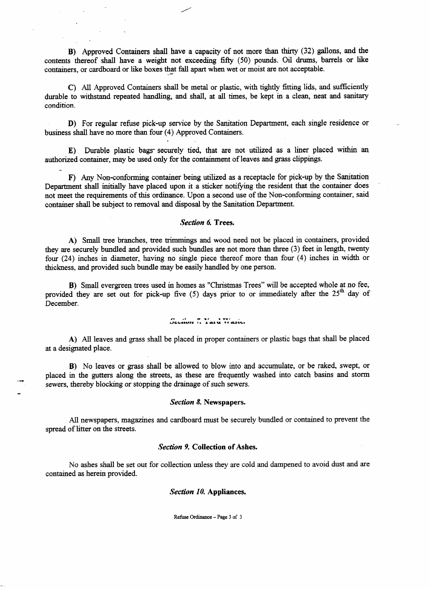**B)** Approved Containers shall have a capacity of not more than thirty (32) gallons, and the contents thereof shall have a weight not exceeding fifty (50) pounds. Oil drums, barrels or like containers, or cardboard or like boxes that fall apart when wet or moist are not acceptable.

*All* Approved Containers shall be or plastic, with tightly fitting **lids,** and sufficiently durable to withstand repeated handling, and shall, at all times, be kept in a clean, neat and sanitary condition.

For regular pick-up service by the **Sanitation** Department, each **single** residence or business shall have no more than four **(4)** Approved Containers.

**E)** Durable plastic bags- securely tied, that are not utilized **as** a liner placed within **an**  authorized container, may be used only for the containment of leaves and **grass** clippings. -

F) Any Non-conforming container being utilized as a receptacle for pick-up by the Sanitation Department shall initially have placed upon it a sticker notifying the resident that the container does not meet the requirements of this ordinance. Upon a second use of the Non-conforming container, said container shall be subject to removal and disposal by the **Sanitation** Department.

## *Section 6,* **Trees.**

A) Small tree branches, tree trimmings **and** wood need not be placed in containers, provided they are securely bundled and provided such bundles are not more than three (3) feet in length, twenty four (24) inches in diameter, having no single piece thereof more than four **(4)** inches **in** width or thickness, **and** provided such bundle may be easily handled by one person.

**B)** Small evergreen trees used in homes as "Christmas Trees" will be accepted whole at no fee, provided they are set out for pick-up five (5) days prior to or immediately after the 25<sup>th</sup> day of December.

# $U = \frac{1}{2}$   $\frac{1}{2}$   $\frac{1}{2}$   $\frac{1}{2}$   $\frac{1}{2}$   $\frac{1}{2}$   $\frac{1}{2}$   $\frac{1}{2}$   $\frac{1}{2}$   $\frac{1}{2}$   $\frac{1}{2}$   $\frac{1}{2}$   $\frac{1}{2}$   $\frac{1}{2}$   $\frac{1}{2}$   $\frac{1}{2}$   $\frac{1}{2}$   $\frac{1}{2}$   $\frac{1}{2}$   $\frac{1}{2}$   $\frac{1}{2}$   $\frac{1}{2}$

**A)** All leaves and **grass** shall be placed in proper containers or plastic bags that shall be placed at a designated place.

**B)** No leaves or grass shall be allowed to blow into and accumulate, or be raked, swept, or placed in the gutters along the streets, **as** these are frequently washed into catch basins and storm sewers, thereby blocking or stopping the drainage of such sewers.

#### *Section 8.* **Newspapers.**

All newspapers, magazines and cardboard must be securely bundled or contained to prevent the spread of litter on the streets.

#### *Section 9,* **Collection of Ashes.**

No ashes shall be set out for collection unless they are cold **and** dampened to avoid dust **and** are contained as herein provided.

*Section 10,* **Appliances.** 

Refuse **Ordinance** *Page* **3** of **3**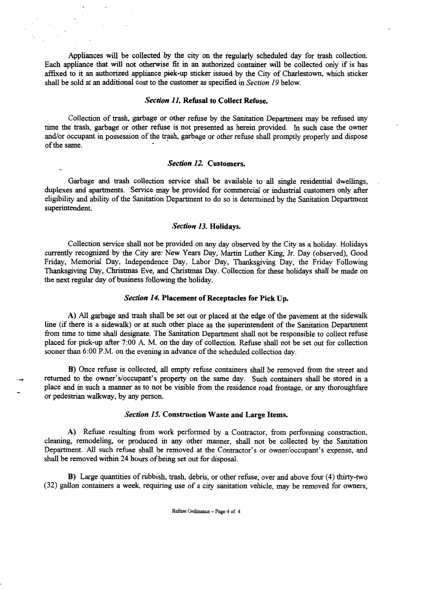Appliances will be collected by the city on the regularly scheduled day for trash collection. Each appliance that will not otherwise fit in an authorized container will be collected only if is has affixed to it an authorized appliance pick-up sticker issued by the City of Charlestown, which sticker shall be sold at an additional cost to the customer **as** specified in Section 19 below.

## *Section II.* **Refusal to Collect Refuse.**

Collection of trash, garbage or other refuse by the **Sanitation** Department may be refused any time the **trash,** garbage or other refuse is not presented **as** herein provided. In such case the owner and/or occupant in possession of the trash, garbage or other refuse shall promptly properly and dispose of the same.

## *Section 12.* **Customers,**

Garbage and trash collection service shall be available to all single residential dwellings, duplexes and apartments. Service may be provided for commercial or industrial customers only after eligibility and ability of the Sanitation Department to do so is determined by the Sanitation Department superintendent.

### *Section 13.* **Holidays.**

Collection service shall not be provided on any day observed by the City **as** a holiday. Holidays currently recognized by the City are: New Years Day, Martin Luther King, Jr. Day (observed), Good Friday, Memorial Day, Independence Day, Labor Day, Thanksgiving Day, the Friday Following **Thanksgiving** Day, Christmas Eve, and Christmas Day. Collection for these holidays shall be made on the next regular day of business following the holiday.

#### *Section 14.* **Placement of Receptacles for Pick Up.**

A) All garbage and trash shall be set out or placed at the edge of the pavement at the sidewalk line (if there is a sidewalk) or at such other place as the superintendent of the Sanitation Department from time to time shall designate. The **Sanitation** Department shall not be responsible to collect refuse placed for pick-up after **7:OO** A. M. on the day of collection. Refuse shall not be set out for collection sooner than 6:00 P.M. on the evening in advance of the scheduled collection day.

**B)** Once refuse is collected, all empty refuse containers shall be removed from the street and returned to the owner's/occupant's property on the same day. Such containers shall be stored in a place and in such a manner **as** to not be visible from the residence road frontage, or any thoroughfare or pedestrian walkway, by any person.

#### *Section 15.* **Construction Waste and Large Items.**

A) Refuse resulting from work performed by a Contractor, from performing construction, cleaning, remodeling, or produced in any other manner, shall not be collected by the Sanitation Department. All such refuse shall be removed at the Contractor's or owner/occupant's expense, and shall be removed within 24 hours of being set out for disposal.

**B)** Large **quantities** of rubbish, trash, debris, or other refuse, over and above four **(4)** thirty-two (32) gallon containers **a** week, requiring use of a city sanitation vehicle, may be removed for owners,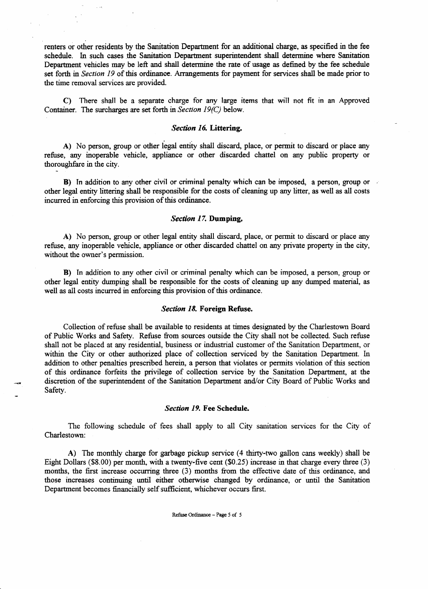renters or other residents by the **Sanitation** Department for **an** additional charge, **as** specified in the fee schedule. In such cases the Sanitation Department superintendent shall determine where **Sanitation**  Department vehicles *may* be left and shall determine the rate of usage as defined by the fee schedule set forth in Section 19 of this ordinance. Arrangements for payment for services shall be made prior to the time removal services are provided.

C) There shall be a separate charge for any large items that will not fit in an Approved Container. The surcharges are set forth in *Section 19(C)* below.

# *Section 16,* Littering.

A) No person, group or other legal entity shall discard, place, or permit to discard or place any refuse, any inoperable vehicle, appliance or other discarded chattel on any public property or thoroughfare in the city.

B) In addition to any other civil or criminal penalty which can be imposed, a person, group or other legal entity littering shall be responsible for the costs of cleaning up any litter, **as** well **as** all costs incurred in enforcing **this** provision of this ordinance.

# *Section 17,* **Dumping.**

A) No person, group or other legal entity shall discard, place, or permit to discard or place any refuse, any inoperable vehicle, appliance or other discarded chattel on any private property in the city, without the owner's permission.

B) In addition to any other civil or criminal penalty which can be imposed, a person, group or other legal entity dumping shall be responsible for the costs of cleaning up any dumped material, as well **as** all costs incurred in enforcing **this** provision of this ordinance.

### *Section 18,* **Foreign Refuse,**

Collection of refuse shall be available to residents at times designated by the Charlestown Board of Public Works and Safety. Refuse from sources outside the City shall not be collected. Such refuse shall not be placed at any residential, business or industrial customer of the Sanitation Department, or within the City or other authorized place of collection serviced by the Sanitation Department. In addition to other penalties prescribed herein, a person that violates or permits violation of **this** section of this ordinance forfeits the privilege of collection service by the Sanitation Department, at the discretion of the superintendent of the Sanitation Department and/or City Board of Public Works and Safety.

### *Section 19.* **Fee Schedule.**

The following schedule of fees shall apply to all City sanitation services for the City of Charlestown:

A) The monthly charge for garbage pickup service **(4** thirty-two gallon cans weekly) shall be Eight Dollars (\$8.00) per month, with a twenty-five cent (\$0.25) increase in that charge every three (3) months, the first increase occurring three (3) months from the effective date of **this** ordinance, and those increases continuing **until** either otherwise changed by ordinance, or **until** the Sanitation Department becomes financially self sufficient, whichever occurs first.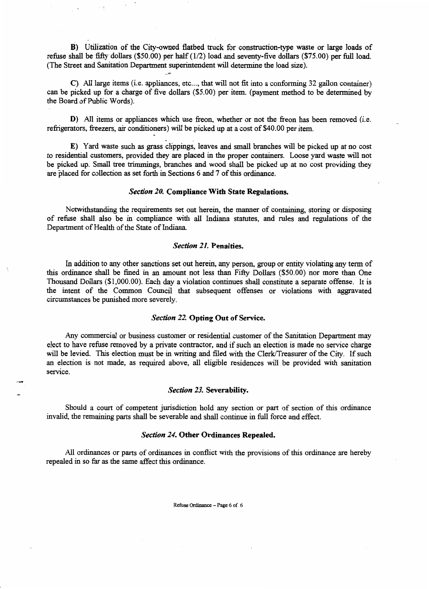**B)** Utilization of the City-owned flatbed truck for construction-type waste or large loads of refuse shall be fifty dollars (\$50.00) per half (1/2) load and seventy-five dollars (\$75.00) per full load. (The Street and Sanitation Department superintendent will determine the load size).

**C)** All large items (i.e. appliances, etc..., that will not fit into a conforming 32 gallon container) can be picked up for a charge of five dollars (\$5.00) per item. (payment method to be determined **by**  the Board of Public Words).

**D)** *All* items or appliances which use freon, whether or not the freon has been removed (i.e. refrigerators, freezers, air conditioners) will be picked up at a cost of \$40.00 per item.

**E)** Yard waste such **as grass** clippings, leaves and small branches will be picked up at no cost to residential customers, provided they are placed in the proper containers. Loose yard waste will not be picked up. **Small** tree trimmings, branches and wood shall be picked up at no cost providing they are placed for collection **as** set forth in Sections 6 and 7 of this ordinance.

## *Section 20.* **Compliance With State Regulations.**

**Notwithstanding** the requirements set out herein, the manner of containing, storing or disposing of refuse shall also be in compliance with all Indiana statutes, and rules and regulations of the Department of Health of the State of Indiana.

## *Section 21.* **Penalties.**

In addition to any other sanctions set out herein, any person, group or entity violating any term of this ordinance shall be fined in an amount not less than Fifty Dollars (\$50.00) nor more than One Thousand Dollars (\$1,000.00). Each day a violation continues shall constitute a separate offense. It is the intent of the Common Council that subsequent offenses or violations with aggravated circumstances be punished more severely.

#### *Section 22.* **Opting Out of Service.**

Any commercial or business customer or residential customer of the Sanitation Department may elect to have refuse removed by a private contractor, and if such an election is made no service charge will be levied. This election must be in writing and filed with the Clerk/Treasurer of the City. If such an election is not made, **as** required above, all eligible residences will be provided with sanitation service.

### *Section* **23. Severability.**

Should a court of competent jurisdiction hold any section or part of section of **this** ordinance invalid, the remaining parts shall be severable and shall continue in full force and effect.

### *Section 24.* **Other Ordinances Repealed,**

All ordinances or parts of ordinances in conflict with **the** provisions of this ordinance are hereby repealed in so *far* **as** the same affect this ordinance.

Refuse **Ordinance** *Page* **6 of 6**